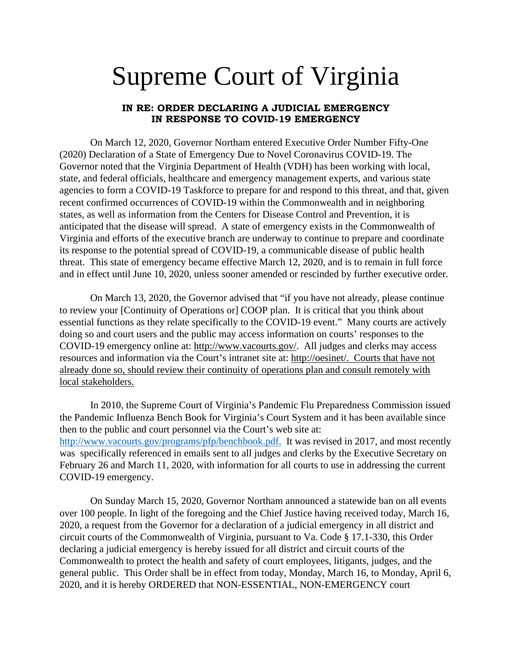## Supreme Court of Virginia

## **IN RE: ORDER DECLARING A JUDICIAL EMERGENCY IN RESPONSE TO COVID-19 EMERGENCY**

On March 12, 2020, Governor Northam entered Executive Order Number Fifty-One (2020) Declaration of a State of Emergency Due to Novel Coronavirus COVID-19. The Governor noted that the Virginia Department of Health (VDH) has been working with local, state, and federal officials, healthcare and emergency management experts, and various state agencies to form a COVID-19 Taskforce to prepare for and respond to this threat, and that, given recent confirmed occurrences of COVID-19 within the Commonwealth and in neighboring states, as well as information from the Centers for Disease Control and Prevention, it is anticipated that the disease will spread. A state of emergency exists in the Commonwealth of Virginia and efforts of the executive branch are underway to continue to prepare and coordinate its response to the potential spread of COVID-19, a communicable disease of public health threat. This state of emergency became effective March 12, 2020, and is to remain in full force and in effect until June 10, 2020, unless sooner amended or rescinded by further executive order.

On March 13, 2020, the Governor advised that "if you have not already, please continue to review your [Continuity of Operations or] COOP plan. It is critical that you think about essential functions as they relate specifically to the COVID-19 event." Many courts are actively doing so and court users and the public may access information on courts' responses to the COVID-19 emergency online at: [http://www.vacourts.gov/.](http://www.vacourts.gov/) All judges and clerks may access resources and information via the Court's intranet site at: [http://oesinet/.](http://oesinet/) Courts that have not already done so, should review their continuity of operations plan and consult remotely with local stakeholders.

In 2010, the Supreme Court of Virginia's Pandemic Flu Preparedness Commission issued the Pandemic Influenza Bench Book for Virginia's Court System and it has been available since then to the public and court personnel via the Court's web site at: [http://www.vacourts.gov/programs/pfp/benchbook.pdf.](http://www.vacourts.gov/programs/pfp/benchbook.pdf) It was revised in 2017, and most recently was specifically referenced in emails sent to all judges and clerks by the Executive Secretary on February 26 and March 11, 2020, with information for all courts to use in addressing the current COVID-19 emergency.

On Sunday March 15, 2020, Governor Northam announced a statewide ban on all events over 100 people. In light of the foregoing and the Chief Justice having received today, March 16, 2020, a request from the Governor for a declaration of a judicial emergency in all district and circuit courts of the Commonwealth of Virginia, pursuant to Va. Code § 17.1-330, this Order declaring a judicial emergency is hereby issued for all district and circuit courts of the Commonwealth to protect the health and safety of court employees, litigants, judges, and the general public. This Order shall be in effect from today, Monday, March 16, to Monday, April 6, 2020, and it is hereby ORDERED that NON-ESSENTIAL, NON-EMERGENCY court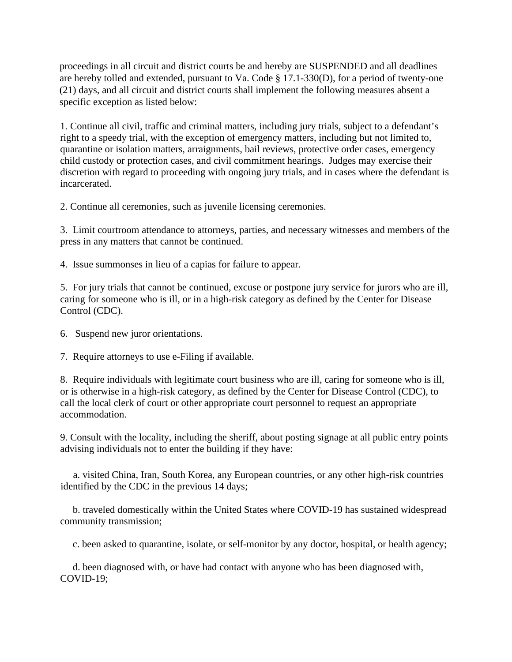proceedings in all circuit and district courts be and hereby are SUSPENDED and all deadlines are hereby tolled and extended, pursuant to Va. Code § 17.1-330(D), for a period of twenty-one (21) days, and all circuit and district courts shall implement the following measures absent a specific exception as listed below:

1. Continue all civil, traffic and criminal matters, including jury trials, subject to a defendant's right to a speedy trial, with the exception of emergency matters, including but not limited to, quarantine or isolation matters, arraignments, bail reviews, protective order cases, emergency child custody or protection cases, and civil commitment hearings. Judges may exercise their discretion with regard to proceeding with ongoing jury trials, and in cases where the defendant is incarcerated.

2. Continue all ceremonies, such as juvenile licensing ceremonies.

3. Limit courtroom attendance to attorneys, parties, and necessary witnesses and members of the press in any matters that cannot be continued.

4. Issue summonses in lieu of a capias for failure to appear.

5. For jury trials that cannot be continued, excuse or postpone jury service for jurors who are ill, caring for someone who is ill, or in a high-risk category as defined by the Center for Disease Control (CDC).

6. Suspend new juror orientations.

7. Require attorneys to use e-Filing if available.

8. Require individuals with legitimate court business who are ill, caring for someone who is ill, or is otherwise in a high-risk category, as defined by the Center for Disease Control (CDC), to call the local clerk of court or other appropriate court personnel to request an appropriate accommodation.

9. Consult with the locality, including the sheriff, about posting signage at all public entry points advising individuals not to enter the building if they have:

 a. visited China, Iran, South Korea, any European countries, or any other high-risk countries identified by the CDC in the previous 14 days;

 b. traveled domestically within the United States where COVID-19 has sustained widespread community transmission;

c. been asked to quarantine, isolate, or self-monitor by any doctor, hospital, or health agency;

 d. been diagnosed with, or have had contact with anyone who has been diagnosed with, COVID-19;